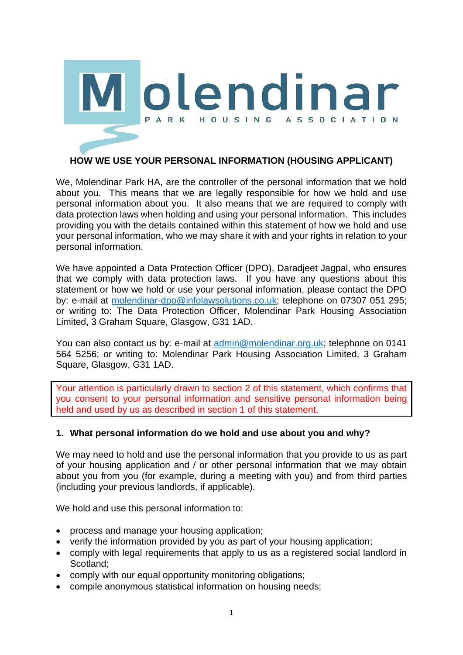

# **HOW WE USE YOUR PERSONAL INFORMATION (HOUSING APPLICANT)**

We, Molendinar Park HA, are the controller of the personal information that we hold about you. This means that we are legally responsible for how we hold and use personal information about you. It also means that we are required to comply with data protection laws when holding and using your personal information. This includes providing you with the details contained within this statement of how we hold and use your personal information, who we may share it with and your rights in relation to your personal information.

We have appointed a Data Protection Officer (DPO), Daradjeet Jagpal, who ensures that we comply with data protection laws. If you have any questions about this statement or how we hold or use your personal information, please contact the DPO by: e-mail at [molendinar-dpo@infolawsolutions.co.uk;](mailto:molendinar-dpo@infolawsolutions.co.uk) telephone on 07307 051 295; or writing to: The Data Protection Officer, Molendinar Park Housing Association Limited, 3 Graham Square, Glasgow, G31 1AD.

You can also contact us by: e-mail at [admin@molendinar.org.uk;](mailto:admin@molendinar.org.uk) telephone on 0141 564 5256; or writing to: Molendinar Park Housing Association Limited, 3 Graham Square, Glasgow, G31 1AD.

Your attention is particularly drawn to section 2 of this statement, which confirms that you consent to your personal information and sensitive personal information being held and used by us as described in section 1 of this statement.

### **1. What personal information do we hold and use about you and why?**

We may need to hold and use the personal information that you provide to us as part of your housing application and / or other personal information that we may obtain about you from you (for example, during a meeting with you) and from third parties (including your previous landlords, if applicable).

We hold and use this personal information to:

- process and manage your housing application;
- verify the information provided by you as part of your housing application:
- comply with legal requirements that apply to us as a registered social landlord in Scotland;
- comply with our equal opportunity monitoring obligations;
- compile anonymous statistical information on housing needs;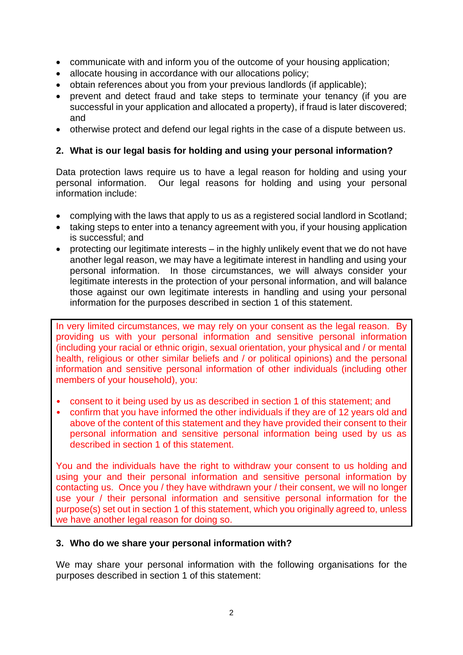- communicate with and inform you of the outcome of your housing application;
- allocate housing in accordance with our allocations policy;
- obtain references about you from your previous landlords (if applicable);
- prevent and detect fraud and take steps to terminate your tenancy (if you are successful in your application and allocated a property), if fraud is later discovered; and
- otherwise protect and defend our legal rights in the case of a dispute between us.

## **2. What is our legal basis for holding and using your personal information?**

Data protection laws require us to have a legal reason for holding and using your personal information. Our legal reasons for holding and using your personal information include:

- complying with the laws that apply to us as a registered social landlord in Scotland;
- taking steps to enter into a tenancy agreement with you, if your housing application is successful; and
- protecting our legitimate interests in the highly unlikely event that we do not have another legal reason, we may have a legitimate interest in handling and using your personal information. In those circumstances, we will always consider your legitimate interests in the protection of your personal information, and will balance those against our own legitimate interests in handling and using your personal information for the purposes described in section 1 of this statement.

In very limited circumstances, we may rely on your consent as the legal reason. By providing us with your personal information and sensitive personal information (including your racial or ethnic origin, sexual orientation, your physical and / or mental health, religious or other similar beliefs and / or political opinions) and the personal information and sensitive personal information of other individuals (including other members of your household), you:

- consent to it being used by us as described in section 1 of this statement; and
- confirm that you have informed the other individuals if they are of 12 years old and above of the content of this statement and they have provided their consent to their personal information and sensitive personal information being used by us as described in section 1 of this statement.

You and the individuals have the right to withdraw your consent to us holding and using your and their personal information and sensitive personal information by contacting us. Once you / they have withdrawn your / their consent, we will no longer use your / their personal information and sensitive personal information for the purpose(s) set out in section 1 of this statement, which you originally agreed to, unless we have another legal reason for doing so.

### **3. Who do we share your personal information with?**

We may share your personal information with the following organisations for the purposes described in section 1 of this statement: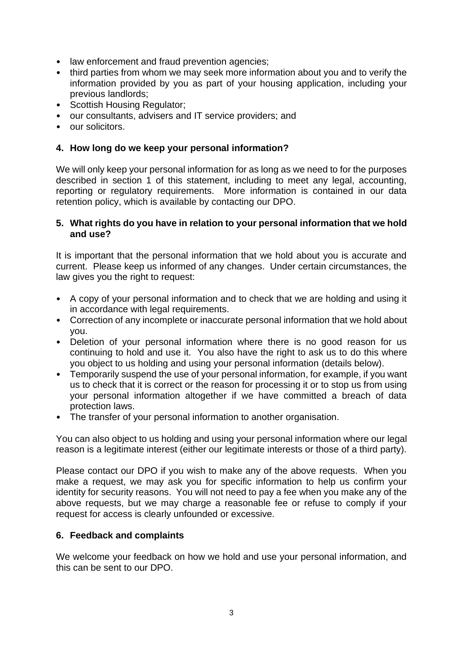- law enforcement and fraud prevention agencies;
- third parties from whom we may seek more information about you and to verify the information provided by you as part of your housing application, including your previous landlords;
- Scottish Housing Regulator;
- our consultants, advisers and IT service providers; and
- our solicitors.

### **4. How long do we keep your personal information?**

We will only keep your personal information for as long as we need to for the purposes described in section 1 of this statement, including to meet any legal, accounting, reporting or regulatory requirements. More information is contained in our data retention policy, which is available by contacting our DPO.

#### **5. What rights do you have in relation to your personal information that we hold and use?**

It is important that the personal information that we hold about you is accurate and current. Please keep us informed of any changes. Under certain circumstances, the law gives you the right to request:

- A copy of your personal information and to check that we are holding and using it in accordance with legal requirements.
- Correction of any incomplete or inaccurate personal information that we hold about you.
- Deletion of your personal information where there is no good reason for us continuing to hold and use it. You also have the right to ask us to do this where you object to us holding and using your personal information (details below).
- Temporarily suspend the use of your personal information, for example, if you want us to check that it is correct or the reason for processing it or to stop us from using your personal information altogether if we have committed a breach of data protection laws.
- The transfer of your personal information to another organisation.

You can also object to us holding and using your personal information where our legal reason is a legitimate interest (either our legitimate interests or those of a third party).

Please contact our DPO if you wish to make any of the above requests. When you make a request, we may ask you for specific information to help us confirm your identity for security reasons. You will not need to pay a fee when you make any of the above requests, but we may charge a reasonable fee or refuse to comply if your request for access is clearly unfounded or excessive.

### **6. Feedback and complaints**

We welcome your feedback on how we hold and use your personal information, and this can be sent to our DPO.